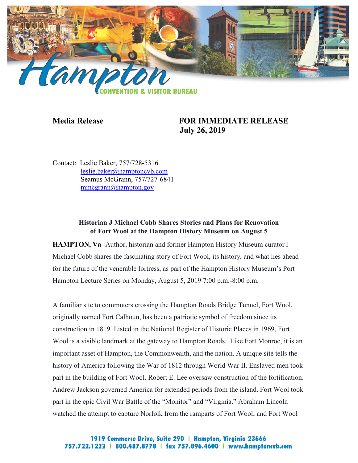

## **Media Release FOR IMMEDIATE RELEASE July 26, 2019**

Contact: Leslie Baker, 757/728-5316 [leslie.baker@hamptoncvb.com](mailto:leslie.baker@hamptoncvb.com) Seamus McGrann, 757/727-6841 [mmcgrann@hampton.gov](mailto:mmcgrann@hampton.gov)

## **Historian J Michael Cobb Shares Stories and Plans for Renovation of Fort Wool at the Hampton History Museum on August 5**

**HAMPTON, Va** -Author, historian and former Hampton History Museum curator J Michael Cobb shares the fascinating story of Fort Wool, its history, and what lies ahead for the future of the venerable fortress, as part of the Hampton History Museum's Port Hampton Lecture Series on Monday, August 5, 2019 7:00 p.m.-8:00 p.m.

A familiar site to commuters crossing the Hampton Roads Bridge Tunnel, Fort Wool, originally named Fort Calhoun, has been a patriotic symbol of freedom since its construction in 1819. Listed in the National Register of Historic Places in 1969, Fort Wool is a visible landmark at the gateway to Hampton Roads. Like Fort Monroe, it is an important asset of Hampton, the Commonwealth, and the nation. A unique site tells the history of America following the War of 1812 through World War II. Enslaved men took part in the building of Fort Wool. Robert E. Lee oversaw construction of the fortification. Andrew Jackson governed America for extended periods from the island. Fort Wool took part in the epic Civil War Battle of the "Monitor" and "Virginia." Abraham Lincoln watched the attempt to capture Norfolk from the ramparts of Fort Wool; and Fort Wool